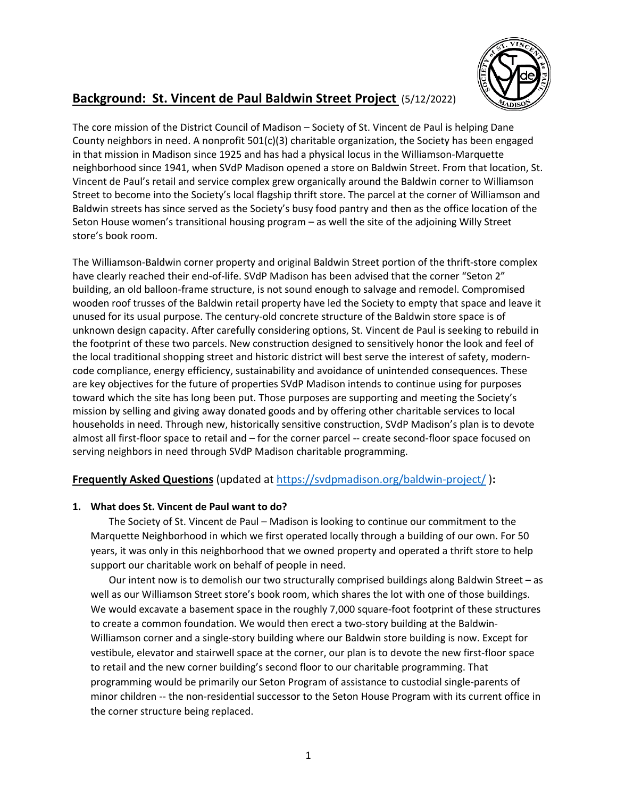

# **Background: St. Vincent de Paul Baldwin Street Project** (5/12/2022)

The core mission of the District Council of Madison – Society of St. Vincent de Paul is helping Dane County neighbors in need. A nonprofit 501(c)(3) charitable organization, the Society has been engaged in that mission in Madison since 1925 and has had a physical locus in the Williamson-Marquette neighborhood since 1941, when SVdP Madison opened a store on Baldwin Street. From that location, St. Vincent de Paul's retail and service complex grew organically around the Baldwin corner to Williamson Street to become into the Society's local flagship thrift store. The parcel at the corner of Williamson and Baldwin streets has since served as the Society's busy food pantry and then as the office location of the Seton House women's transitional housing program – as well the site of the adjoining Willy Street store's book room.

The Williamson-Baldwin corner property and original Baldwin Street portion of the thrift-store complex have clearly reached their end-of-life. SVdP Madison has been advised that the corner "Seton 2" building, an old balloon-frame structure, is not sound enough to salvage and remodel. Compromised wooden roof trusses of the Baldwin retail property have led the Society to empty that space and leave it unused for its usual purpose. The century-old concrete structure of the Baldwin store space is of unknown design capacity. After carefully considering options, St. Vincent de Paul is seeking to rebuild in the footprint of these two parcels. New construction designed to sensitively honor the look and feel of the local traditional shopping street and historic district will best serve the interest of safety, moderncode compliance, energy efficiency, sustainability and avoidance of unintended consequences. These are key objectives for the future of properties SVdP Madison intends to continue using for purposes toward which the site has long been put. Those purposes are supporting and meeting the Society's mission by selling and giving away donated goods and by offering other charitable services to local households in need. Through new, historically sensitive construction, SVdP Madison's plan is to devote almost all first-floor space to retail and – for the corner parcel -- create second-floor space focused on serving neighbors in need through SVdP Madison charitable programming.

## **Frequently Asked Questions** (updated at https://svdpmadison.org/baldwin-project/ )**:**

## **1. What does St. Vincent de Paul want to do?**

The Society of St. Vincent de Paul – Madison is looking to continue our commitment to the Marquette Neighborhood in which we first operated locally through a building of our own. For 50 years, it was only in this neighborhood that we owned property and operated a thrift store to help support our charitable work on behalf of people in need.

Our intent now is to demolish our two structurally comprised buildings along Baldwin Street – as well as our Williamson Street store's book room, which shares the lot with one of those buildings. We would excavate a basement space in the roughly 7,000 square-foot footprint of these structures to create a common foundation. We would then erect a two-story building at the Baldwin-Williamson corner and a single-story building where our Baldwin store building is now. Except for vestibule, elevator and stairwell space at the corner, our plan is to devote the new first-floor space to retail and the new corner building's second floor to our charitable programming. That programming would be primarily our Seton Program of assistance to custodial single-parents of minor children -- the non-residential successor to the Seton House Program with its current office in the corner structure being replaced.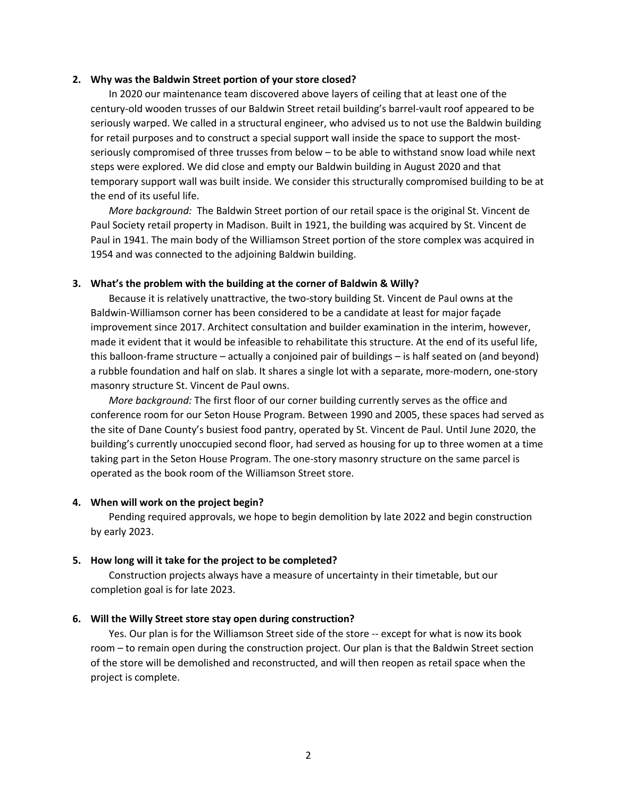#### **2. Why was the Baldwin Street portion of your store closed?**

In 2020 our maintenance team discovered above layers of ceiling that at least one of the century-old wooden trusses of our Baldwin Street retail building's barrel-vault roof appeared to be seriously warped. We called in a structural engineer, who advised us to not use the Baldwin building for retail purposes and to construct a special support wall inside the space to support the mostseriously compromised of three trusses from below – to be able to withstand snow load while next steps were explored. We did close and empty our Baldwin building in August 2020 and that temporary support wall was built inside. We consider this structurally compromised building to be at the end of its useful life.

*More background:* The Baldwin Street portion of our retail space is the original St. Vincent de Paul Society retail property in Madison. Built in 1921, the building was acquired by St. Vincent de Paul in 1941. The main body of the Williamson Street portion of the store complex was acquired in 1954 and was connected to the adjoining Baldwin building.

#### **3. What's the problem with the building at the corner of Baldwin & Willy?**

Because it is relatively unattractive, the two-story building St. Vincent de Paul owns at the Baldwin-Williamson corner has been considered to be a candidate at least for major façade improvement since 2017. Architect consultation and builder examination in the interim, however, made it evident that it would be infeasible to rehabilitate this structure. At the end of its useful life, this balloon-frame structure – actually a conjoined pair of buildings – is half seated on (and beyond) a rubble foundation and half on slab. It shares a single lot with a separate, more-modern, one-story masonry structure St. Vincent de Paul owns.

*More background:* The first floor of our corner building currently serves as the office and conference room for our Seton House Program. Between 1990 and 2005, these spaces had served as the site of Dane County's busiest food pantry, operated by St. Vincent de Paul. Until June 2020, the building's currently unoccupied second floor, had served as housing for up to three women at a time taking part in the Seton House Program. The one-story masonry structure on the same parcel is operated as the book room of the Williamson Street store.

#### **4. When will work on the project begin?**

Pending required approvals, we hope to begin demolition by late 2022 and begin construction by early 2023.

#### **5. How long will it take for the project to be completed?**

Construction projects always have a measure of uncertainty in their timetable, but our completion goal is for late 2023.

#### **6. Will the Willy Street store stay open during construction?**

Yes. Our plan is for the Williamson Street side of the store -- except for what is now its book room – to remain open during the construction project. Our plan is that the Baldwin Street section of the store will be demolished and reconstructed, and will then reopen as retail space when the project is complete.